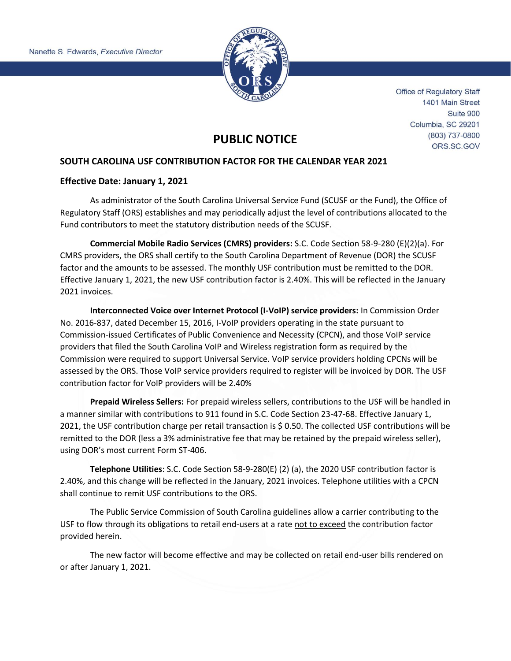

**Office of Regulatory Staff** 1401 Main Street Suite 900 Columbia, SC 29201 (803) 737-0800 ORS.SC.GOV

## **PUBLIC NOTICE**

## **SOUTH CAROLINA USF CONTRIBUTION FACTOR FOR THE CALENDAR YEAR 2021**

## **Effective Date: January 1, 2021**

As administrator of the South Carolina Universal Service Fund (SCUSF or the Fund), the Office of Regulatory Staff (ORS) establishes and may periodically adjust the level of contributions allocated to the Fund contributors to meet the statutory distribution needs of the SCUSF.

**Commercial Mobile Radio Services (CMRS) providers:** S.C. Code Section 58-9-280 (E)(2)(a). For CMRS providers, the ORS shall certify to the South Carolina Department of Revenue (DOR) the SCUSF factor and the amounts to be assessed. The monthly USF contribution must be remitted to the DOR. Effective January 1, 2021, the new USF contribution factor is 2.40%. This will be reflected in the January 2021 invoices.

**Interconnected Voice over Internet Protocol (I-VoIP) service providers:** In Commission Order No. 2016-837, dated December 15, 2016, I-VoIP providers operating in the state pursuant to Commission-issued Certificates of Public Convenience and Necessity (CPCN), and those VoIP service providers that filed the South Carolina VoIP and Wireless registration form as required by the Commission were required to support Universal Service. VoIP service providers holding CPCNs will be assessed by the ORS. Those VoIP service providers required to register will be invoiced by DOR. The USF contribution factor for VoIP providers will be 2.40%

**Prepaid Wireless Sellers:** For prepaid wireless sellers, contributions to the USF will be handled in a manner similar with contributions to 911 found in S.C. Code Section 23-47-68. Effective January 1, 2021, the USF contribution charge per retail transaction is \$ 0.50. The collected USF contributions will be remitted to the DOR (less a 3% administrative fee that may be retained by the prepaid wireless seller), using DOR's most current Form ST-406.

**Telephone Utilities**: S.C. Code Section 58-9-280(E) (2) (a), the 2020 USF contribution factor is 2.40%, and this change will be reflected in the January, 2021 invoices. Telephone utilities with a CPCN shall continue to remit USF contributions to the ORS.

The Public Service Commission of South Carolina guidelines allow a carrier contributing to the USF to flow through its obligations to retail end-users at a rate not to exceed the contribution factor provided herein.

The new factor will become effective and may be collected on retail end-user bills rendered on or after January 1, 2021.